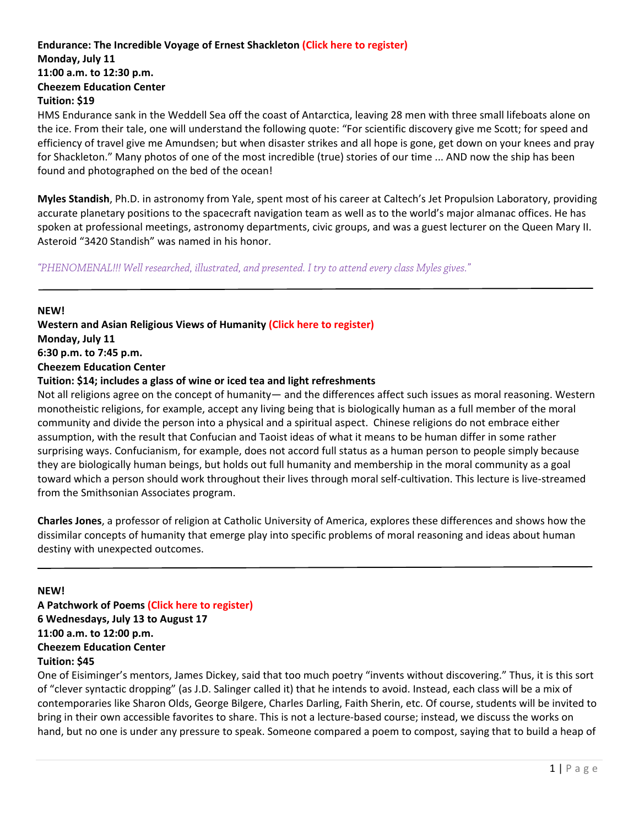## **Endurance: The Incredible Voyage of Ernest Shackleton (Click here to [register\)](https://reg138.imperisoft.com/ClemsonUniversity/ProgramDetail/3336333133/Registration.aspx) Monday, July 11 11:00 a.m. to 12:30 p.m. Cheezem Education Center Tuition: \$19**

HMS Endurance sank in the Weddell Sea off the coast of Antarctica, leaving 28 men with three small lifeboats alone on the ice. From their tale, one will understand the following quote: "For scientific discovery give me Scott; for speed and efficiency of travel give me Amundsen; but when disaster strikes and all hope is gone, get down on your knees and pray for Shackleton." Many photos of one of the most incredible (true) stories of our time ... AND now the ship has been found and photographed on the bed of the ocean!

**Myles Standish**, Ph.D. in astronomy from Yale, spent most of his career at Caltech's Jet Propulsion Laboratory, providing accurate planetary positions to the spacecraft navigation team as well as to the world's major almanac offices. He has spoken at professional meetings, astronomy departments, civic groups, and was a guest lecturer on the Queen Mary II. Asteroid "3420 Standish" was named in his honor.

*"PHENOMENAL!!! Well researched, illustrated, and presented. I try to attend every class Myles gives."* 

**NEW! Western and Asian Religious Views of Humanity (Click here to [register\)](https://reg138.imperisoft.com/ClemsonUniversity/ProgramDetail/3336333233/Registration.aspx)**

**Monday, July 11**

**6:30 p.m. to 7:45 p.m.**

**Cheezem Education Center**

## **Tuition: \$14; includes a glass of wine or iced tea and light refreshments**

Not all religions agree on the concept of humanity— and the differences affect such issues as moral reasoning. Western monotheistic religions, for example, accept any living being that is biologically human as a full member of the moral community and divide the person into a physical and a spiritual aspect. Chinese religions do not embrace either assumption, with the result that Confucian and Taoist ideas of what it means to be human differ in some rather surprising ways. Confucianism, for example, does not accord full status as a human person to people simply because they are biologically human beings, but holds out full humanity and membership in the moral community as a goal toward which a person should work throughout their lives through moral self‐cultivation. This lecture is live‐streamed from the Smithsonian Associates program.

**Charles Jones**, a professor of religion at Catholic University of America, explores these differences and shows how the dissimilar concepts of humanity that emerge play into specific problems of moral reasoning and ideas about human destiny with unexpected outcomes.

**NEW!**

**A Patchwork of Poems (Click here to [register\)](https://reg138.imperisoft.com/ClemsonUniversity/ProgramDetail/3336333039/Registration.aspx) 6 Wednesdays, July 13 to August 17 11:00 a.m. to 12:00 p.m. Cheezem Education Center Tuition: \$45**

One of Eisiminger's mentors, James Dickey, said that too much poetry "invents without discovering." Thus, it is this sort of "clever syntactic dropping" (as J.D. Salinger called it) that he intends to avoid. Instead, each class will be a mix of contemporaries like Sharon Olds, George Bilgere, Charles Darling, Faith Sherin, etc. Of course, students will be invited to bring in their own accessible favorites to share. This is not a lecture‐based course; instead, we discuss the works on hand, but no one is under any pressure to speak. Someone compared a poem to compost, saying that to build a heap of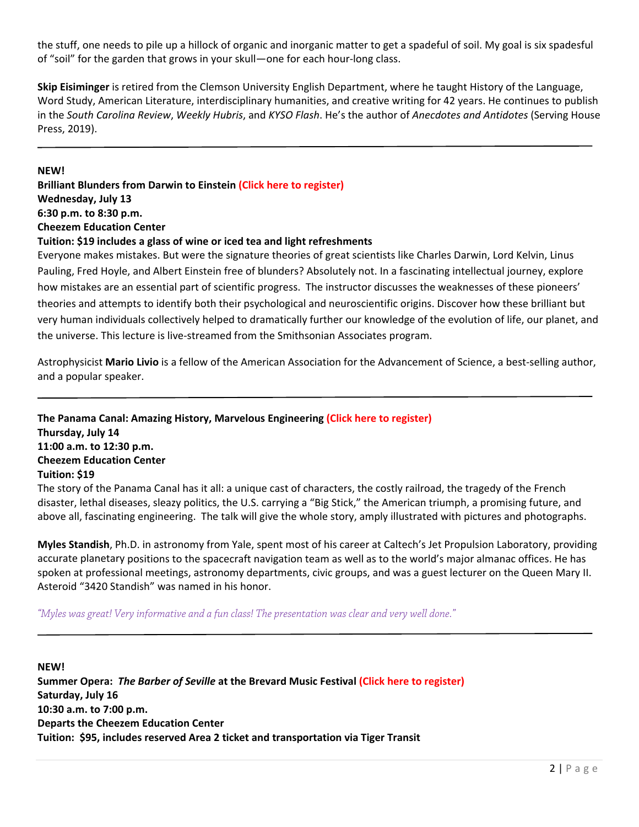the stuff, one needs to pile up a hillock of organic and inorganic matter to get a spadeful of soil. My goal is six spadesful of "soil" for the garden that grows in your skull—one for each hour‐long class.

**Skip Eisiminger** is retired from the Clemson University English Department, where he taught History of the Language, Word Study, American Literature, interdisciplinary humanities, and creative writing for 42 years. He continues to publish in the *South Carolina Review*, *Weekly Hubris*, and *KYSO Flash*. He's the author of *Anecdotes and Antidotes* (Serving House Press, 2019).

#### **NEW!**

**Brilliant Blunders from Darwin to Einstein (Click here to [register\)](https://reg138.imperisoft.com/ClemsonUniversity/ProgramDetail/3336333234/Registration.aspx) Wednesday, July 13 6:30 p.m. to 8:30 p.m. Cheezem Education Center Tuition: \$19 includes a glass of wine or iced tea and light refreshments** Everyone makes mistakes. But were the signature theories of great scientists like Charles Darwin, Lord Kelvin, Linus

Pauling, Fred Hoyle, and Albert Einstein free of blunders? Absolutely not. In a fascinating intellectual journey, explore how mistakes are an essential part of scientific progress. The instructor discusses the weaknesses of these pioneers' theories and attempts to identify both their psychological and neuroscientific origins. Discover how these brilliant but very human individuals collectively helped to dramatically further our knowledge of the evolution of life, our planet, and the universe. This lecture is live‐streamed from the Smithsonian Associates program.

Astrophysicist Mario Livio is a fellow of the American Association for the Advancement of Science, a best-selling author, and a popular speaker.

**The Panama Canal: Amazing History, Marvelous Engineering (Click here to [register\)](https://reg138.imperisoft.com/ClemsonUniversity/ProgramDetail/3336333135/Registration.aspx) Thursday, July 14 11:00 a.m. to 12:30 p.m. Cheezem Education Center Tuition: \$19**

The story of the Panama Canal has it all: a unique cast of characters, the costly railroad, the tragedy of the French disaster, lethal diseases, sleazy politics, the U.S. carrying a "Big Stick," the American triumph, a promising future, and above all, fascinating engineering. The talk will give the whole story, amply illustrated with pictures and photographs.

**Myles Standish**, Ph.D. in astronomy from Yale, spent most of his career at Caltech's Jet Propulsion Laboratory, providing accurate planetary positions to the spacecraft navigation team as well as to the world's major almanac offices. He has spoken at professional meetings, astronomy departments, civic groups, and was a guest lecturer on the Queen Mary II. Asteroid "3420 Standish" was named in his honor.

*"Myles was great! Very informative and a fun class! The presentation was clear and very well done."* 

**NEW! Summer Opera:** *The Barber of Seville* **at the Brevard Music Festival (Click here to [register\)](https://reg138.imperisoft.com/ClemsonUniversity/ProgramDetail/3336333238/Registration.aspx) Saturday, July 16 10:30 a.m. to 7:00 p.m. Departs the Cheezem Education Center Tuition: \$95, includes reserved Area 2 ticket and transportation via Tiger Transit**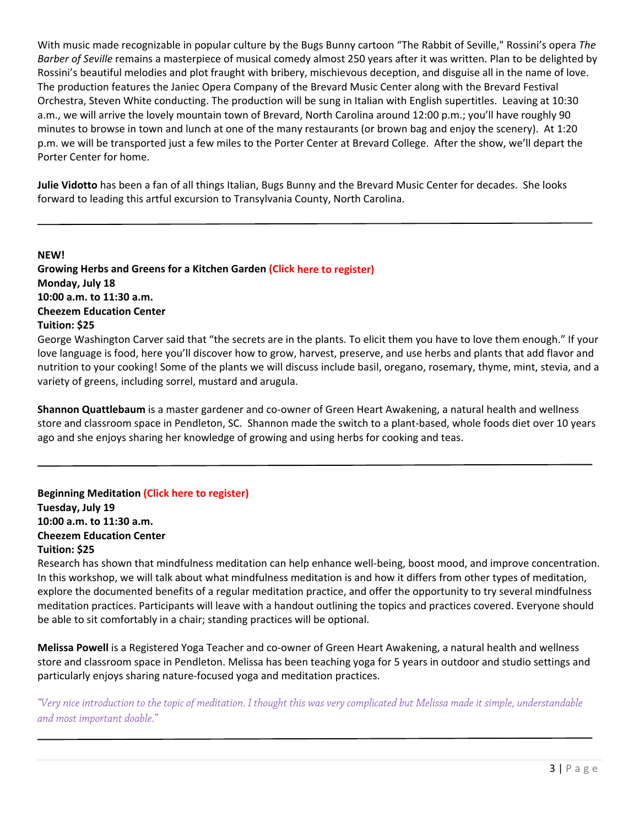With music made recognizable in popular culture by the Bugs Bunny cartoon "The Rabbit of Seville," Rossini's opera *The Barber of Seville* remains a masterpiece of musical comedy almost 250 years after it was written. Plan to be delighted by Rossini's beautiful melodies and plot fraught with bribery, mischievous deception, and disguise all in the name of love. The production features the Janiec Opera Company of the Brevard Music Center along with the Brevard Festival Orchestra, Steven White conducting. The production will be sung in Italian with English supertitles. Leaving at 10:30 a.m., we will arrive the lovely mountain town of Brevard, North Carolina around 12:00 p.m.; you'll have roughly 90 minutes to browse in town and lunch at one of the many restaurants (or brown bag and enjoy the scenery). At 1:20 p.m. we will be transported just a few miles to the Porter Center at Brevard College. After the show, we'll depart the Porter Center for home.

**Julie Vidotto** has been a fan of all things Italian, Bugs Bunny and the Brevard Music Center for decades. She looks forward to leading this artful excursion to Transylvania County, North Carolina.

**NEW!**

**Growing Herbs and Greens for a Kitchen Garden (Click here to [register\)](https://reg138.imperisoft.com/ClemsonUniversity/ProgramDetail/3336333130/Registration.aspx) Monday, July 18 10:00 a.m. to 11:30 a.m. Cheezem Education Center Tuition: \$25**

George Washington Carver said that "the secrets are in the plants. To elicit them you have to love them enough." If your love language is food, here you'll discover how to grow, harvest, preserve, and use herbs and plants that add flavor and nutrition to your cooking! Some of the plants we will discuss include basil, oregano, rosemary, thyme, mint, stevia, and a variety of greens, including sorrel, mustard and arugula.

**Shannon Quattlebaum** is a master gardener and co‐owner of Green Heart Awakening, a natural health and wellness store and classroom space in Pendleton, SC. Shannon made the switch to a plant-based, whole foods diet over 10 years ago and she enjoys sharing her knowledge of growing and using herbs for cooking and teas.

**Beginning Meditation (Click here to [register\)](https://reg138.imperisoft.com/ClemsonUniversity/ProgramDetail/3336333131/Registration.aspx) Tuesday, July 19 10:00 a.m. to 11:30 a.m. Cheezem Education Center Tuition: \$25**

Research has shown that mindfulness meditation can help enhance well-being, boost mood, and improve concentration. In this workshop, we will talk about what mindfulness meditation is and how it differs from other types of meditation, explore the documented benefits of a regular meditation practice, and offer the opportunity to try several mindfulness meditation practices. Participants will leave with a handout outlining the topics and practices covered. Everyone should be able to sit comfortably in a chair; standing practices will be optional.

**Melissa Powell** is a Registered Yoga Teacher and co‐owner of Green Heart Awakening, a natural health and wellness store and classroom space in Pendleton. Melissa has been teaching yoga for 5 years in outdoor and studio settings and particularly enjoys sharing nature‐focused yoga and meditation practices.

*"Very nice introduction to the topic of meditation. I thought this was very complicated but Melissa made it simple, understandable and most important doable."*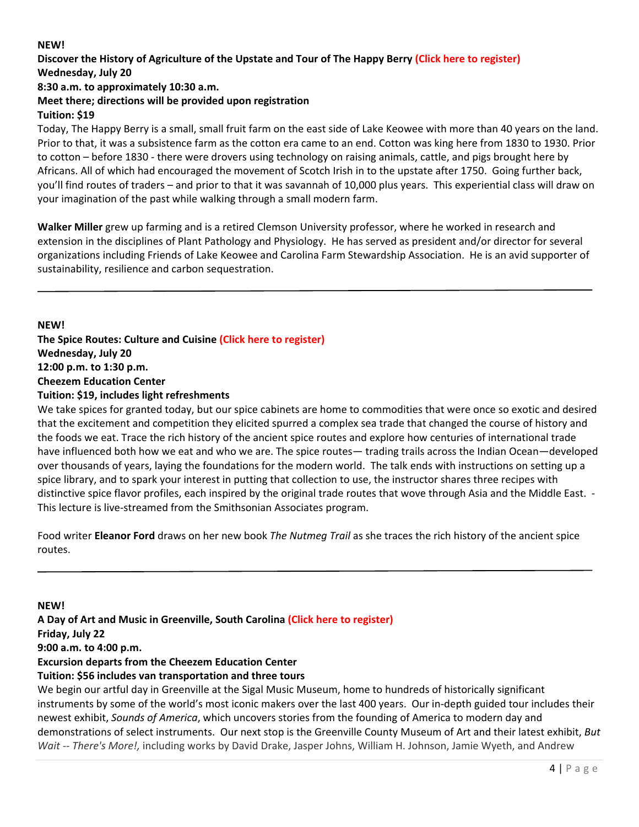## **NEW!**

## Discover the History of Agriculture of the Upstate and Tour of The Happy Berry (Click here to [register\)](https://reg138.imperisoft.com/ClemsonUniversity/ProgramDetail/3336333132/Registration.aspx) **Wednesday, July 20**

## **8:30 a.m. to approximately 10:30 a.m.**

## **Meet there; directions will be provided upon registration Tuition: \$19**

Today, The Happy Berry is a small, small fruit farm on the east side of Lake Keowee with more than 40 years on the land. Prior to that, it was a subsistence farm as the cotton era came to an end. Cotton was king here from 1830 to 1930. Prior to cotton – before 1830 ‐ there were drovers using technology on raising animals, cattle, and pigs brought here by Africans. All of which had encouraged the movement of Scotch Irish in to the upstate after 1750. Going further back, you'll find routes of traders – and prior to that it was savannah of 10,000 plus years. This experiential class will draw on your imagination of the past while walking through a small modern farm.

**Walker Miller** grew up farming and is a retired Clemson University professor, where he worked in research and extension in the disciplines of Plant Pathology and Physiology. He has served as president and/or director for several organizations including Friends of Lake Keowee and Carolina Farm Stewardship Association. He is an avid supporter of sustainability, resilience and carbon sequestration.

**NEW! The Spice Routes: Culture and Cuisine (Click here to [register\)](https://reg138.imperisoft.com/ClemsonUniversity/ProgramDetail/3336333535/Registration.aspx) Wednesday, July 20 12:00 p.m. to 1:30 p.m. Cheezem Education Center Tuition: \$19, includes light refreshments**

We take spices for granted today, but our spice cabinets are home to commodities that were once so exotic and desired that the excitement and competition they elicited spurred a complex sea trade that changed the course of history and the foods we eat. Trace the rich history of the ancient spice routes and explore how centuries of international trade have influenced both how we eat and who we are. The spice routes— trading trails across the Indian Ocean—developed over thousands of years, laying the foundations for the modern world. The talk ends with instructions on setting up a spice library, and to spark your interest in putting that collection to use, the instructor shares three recipes with distinctive spice flavor profiles, each inspired by the original trade routes that wove through Asia and the Middle East. ‐ This lecture is live‐streamed from the Smithsonian Associates program.

Food writer **Eleanor Ford** draws on her new book *The Nutmeg Trail* as she traces the rich history of the ancient spice routes.

**NEW! A Day of Art and Music in Greenville, South Carolina (Click here to [register\)](https://reg138.imperisoft.com/ClemsonUniversity/ProgramDetail/3336333536/Registration.aspx) Friday, July 22 9:00 a.m. to 4:00 p.m. Excursion departs from the Cheezem Education Center Tuition: \$56 includes van transportation and three tours** 

We begin our artful day in Greenville at the Sigal Music Museum, home to hundreds of historically significant instruments by some of the world's most iconic makers over the last 400 years. Our in‐depth guided tour includes their newest exhibit, *Sounds of America*, which uncovers stories from the founding of America to modern day and demonstrations of select instruments. Our next stop is the Greenville County Museum of Art and their latest exhibit, *But Wait ‐‐ There's More!,* including works by David Drake, Jasper Johns, William H. Johnson, Jamie Wyeth, and Andrew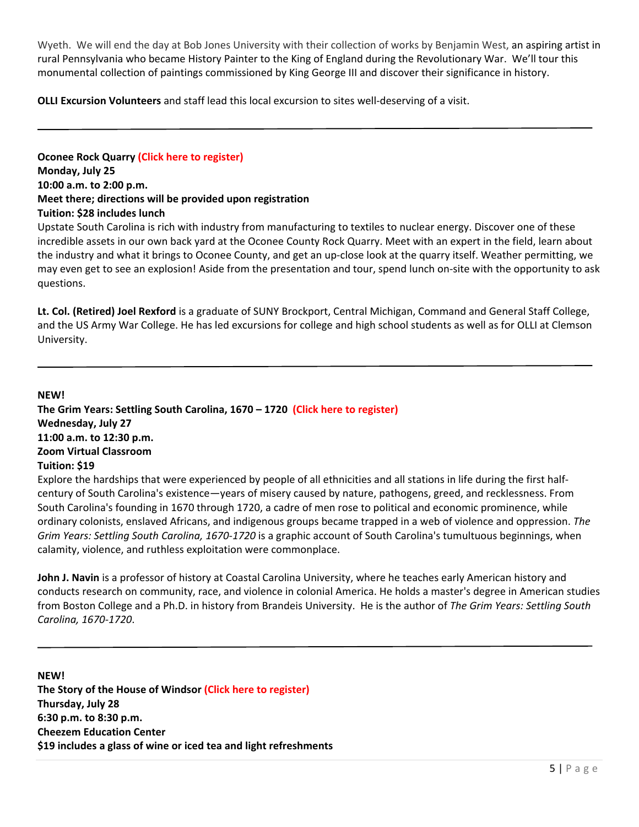Wyeth. We will end the day at Bob Jones University with their collection of works by Benjamin West, an aspiring artist in rural Pennsylvania who became History Painter to the King of England during the Revolutionary War. We'll tour this monumental collection of paintings commissioned by King George III and discover their significance in history.

**OLLI Excursion Volunteers** and staff lead this local excursion to sites well‐deserving of a visit.

**Oconee Rock Quarry (Click here to [register\)](https://reg138.imperisoft.com/ClemsonUniversity/ProgramDetail/3336333239/Registration.aspx) Monday, July 25 10:00 a.m. to 2:00 p.m. Meet there; directions will be provided upon registration Tuition: \$28 includes lunch**

Upstate South Carolina is rich with industry from manufacturing to textiles to nuclear energy. Discover one of these incredible assets in our own back yard at the Oconee County Rock Quarry. Meet with an expert in the field, learn about the industry and what it brings to Oconee County, and get an up‐close look at the quarry itself. Weather permitting, we may even get to see an explosion! Aside from the presentation and tour, spend lunch on‐site with the opportunity to ask questions.

**Lt. Col. (Retired) Joel Rexford** is a graduate of SUNY Brockport, Central Michigan, Command and General Staff College, and the US Army War College. He has led excursions for college and high school students as well as for OLLI at Clemson University.

**NEW!**

**The Grim Years: Settling South Carolina, 1670 – 1720 (Click here to [register\)](https://reg138.imperisoft.com/ClemsonUniversity/ProgramDetail/3336333134/Registration.aspx) Wednesday, July 27 11:00 a.m. to 12:30 p.m. Zoom Virtual Classroom Tuition: \$19**

Explore the hardships that were experienced by people of all ethnicities and all stations in life during the first half‐ century of South Carolina's existence—years of misery caused by nature, pathogens, greed, and recklessness. From South Carolina's founding in 1670 through 1720, a cadre of men rose to political and economic prominence, while ordinary colonists, enslaved Africans, and indigenous groups became trapped in a web of violence and oppression. *The Grim Years: Settling South Carolina, 1670‐1720* is a graphic account of South Carolina's tumultuous beginnings, when calamity, violence, and ruthless exploitation were commonplace.

**John J. Navin** is a professor of history at Coastal Carolina University, where he teaches early American history and conducts research on community, race, and violence in colonial America. He holds a master's degree in American studies from Boston College and a Ph.D. in history from Brandeis University. He is the author of *The Grim Years: Settling South Carolina, 1670‐1720*.

**NEW! The Story of the House of Windsor (Click here to [register\)](https://reg138.imperisoft.com/ClemsonUniversity/ProgramDetail/3336333235/Registration.aspx) Thursday, July 28 6:30 p.m. to 8:30 p.m. Cheezem Education Center \$19 includes a glass of wine or iced tea and light refreshments**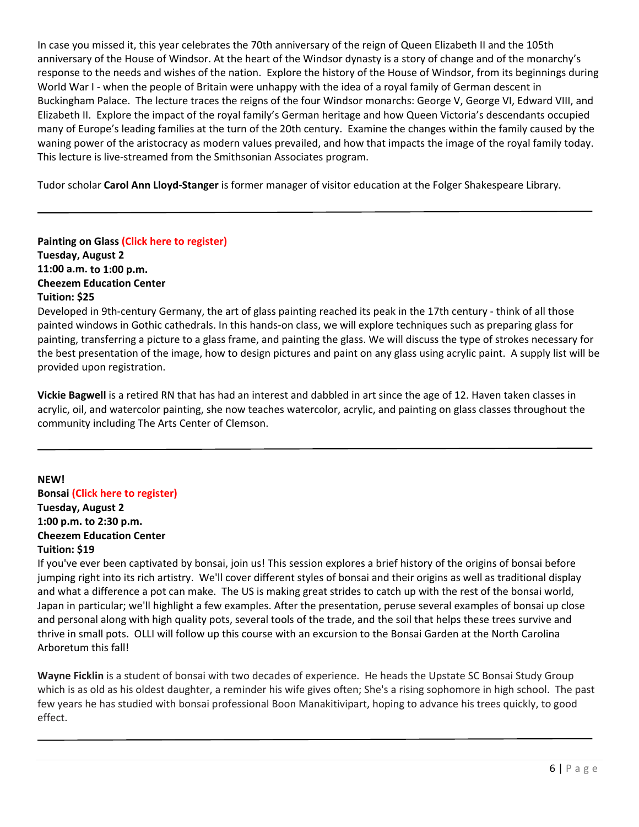In case you missed it, this year celebrates the 70th anniversary of the reign of Queen Elizabeth II and the 105th anniversary of the House of Windsor. At the heart of the Windsor dynasty is a story of change and of the monarchy's response to the needs and wishes of the nation. Explore the history of the House of Windsor, from its beginnings during World War I - when the people of Britain were unhappy with the idea of a royal family of German descent in Buckingham Palace. The lecture traces the reigns of the four Windsor monarchs: George V, George VI, Edward VIII, and Elizabeth II. Explore the impact of the royal family's German heritage and how Queen Victoria's descendants occupied many of Europe's leading families at the turn of the 20th century. Examine the changes within the family caused by the waning power of the aristocracy as modern values prevailed, and how that impacts the image of the royal family today. This lecture is live‐streamed from the Smithsonian Associates program.

Tudor scholar **Carol Ann Lloyd‐Stanger** is former manager of visitor education at the Folger Shakespeare Library.

**Painting on Glass (Click here to [register\)](https://reg138.imperisoft.com/ClemsonUniversity/ProgramDetail/3336333136/Registration.aspx) Tuesday, August 2 11:00 a.m. to 1:00 p.m. Cheezem Education Center Tuition: \$25**

Developed in 9th-century Germany, the art of glass painting reached its peak in the 17th century - think of all those painted windows in Gothic cathedrals. In this hands‐on class, we will explore techniques such as preparing glass for painting, transferring a picture to a glass frame, and painting the glass. We will discuss the type of strokes necessary for the best presentation of the image, how to design pictures and paint on any glass using acrylic paint. A supply list will be provided upon registration.

**Vickie Bagwell** is a retired RN that has had an interest and dabbled in art since the age of 12. Haven taken classes in acrylic, oil, and watercolor painting, she now teaches watercolor, acrylic, and painting on glass classes throughout the community including The Arts Center of Clemson.

**NEW! Bonsai (Click here to [register\)](https://reg138.imperisoft.com/ClemsonUniversity/ProgramDetail/3336333137/Registration.aspx) Tuesday, August 2 1:00 p.m. to 2:30 p.m. Cheezem Education Center Tuition: \$19**

If you've ever been captivated by bonsai, join us! This session explores a brief history of the origins of bonsai before jumping right into its rich artistry. We'll cover different styles of bonsai and their origins as well as traditional display and what a difference a pot can make. The US is making great strides to catch up with the rest of the bonsai world, Japan in particular; we'll highlight a few examples. After the presentation, peruse several examples of bonsai up close and personal along with high quality pots, several tools of the trade, and the soil that helps these trees survive and thrive in small pots. OLLI will follow up this course with an excursion to the Bonsai Garden at the North Carolina Arboretum this fall!

**Wayne Ficklin** is a student of bonsai with two decades of experience. He heads the Upstate SC Bonsai Study Group which is as old as his oldest daughter, a reminder his wife gives often; She's a rising sophomore in high school. The past few years he has studied with bonsai professional Boon Manakitivipart, hoping to advance his trees quickly, to good effect.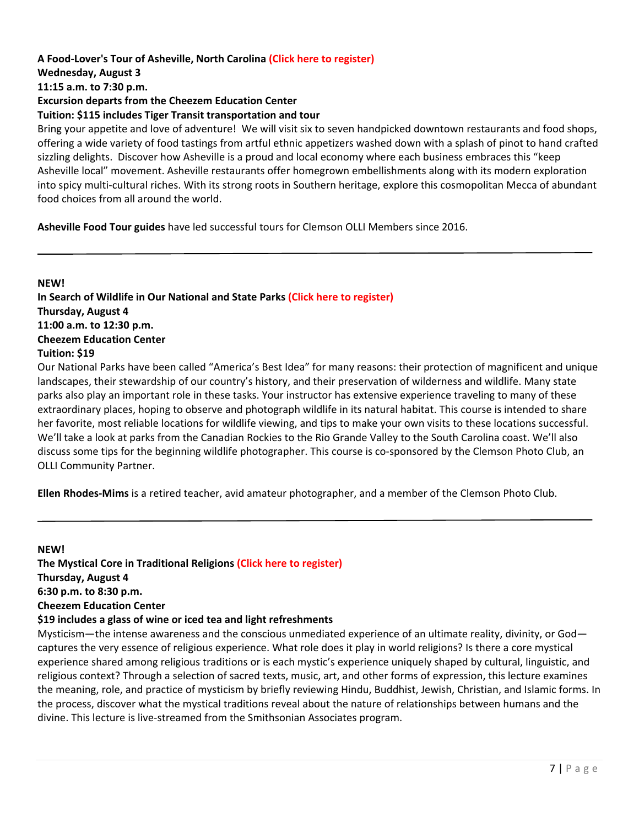## **A Food‐Lover's Tour of Asheville, North Carolina (Click here to [register\)](https://reg138.imperisoft.com/ClemsonUniversity/ProgramDetail/3336333538/Registration.aspx) Wednesday, August 3 11:15 a.m. to 7:30 p.m. Excursion departs from the Cheezem Education Center**

## **Tuition: \$115 includes Tiger Transit transportation and tour**

Bring your appetite and love of adventure! We will visit six to seven handpicked downtown restaurants and food shops, offering a wide variety of food tastings from artful ethnic appetizers washed down with a splash of pinot to hand crafted sizzling delights. Discover how Asheville is a proud and local economy where each business embraces this "keep Asheville local" movement. Asheville restaurants offer homegrown embellishments along with its modern exploration into spicy multi-cultural riches. With its strong roots in Southern heritage, explore this cosmopolitan Mecca of abundant food choices from all around the world.

**Asheville Food Tour guides** have led successful tours for Clemson OLLI Members since 2016.

# **NEW!**

**In Search of Wildlife in Our National and State Parks (Click here to [register\)](https://reg138.imperisoft.com/ClemsonUniversity/ProgramDetail/3336333138/Registration.aspx) Thursday, August 4 11:00 a.m. to 12:30 p.m. Cheezem Education Center Tuition: \$19**

Our National Parks have been called "America's Best Idea" for many reasons: their protection of magnificent and unique landscapes, their stewardship of our country's history, and their preservation of wilderness and wildlife. Many state parks also play an important role in these tasks. Your instructor has extensive experience traveling to many of these extraordinary places, hoping to observe and photograph wildlife in its natural habitat. This course is intended to share her favorite, most reliable locations for wildlife viewing, and tips to make your own visits to these locations successful. We'll take a look at parks from the Canadian Rockies to the Rio Grande Valley to the South Carolina coast. We'll also discuss some tips for the beginning wildlife photographer. This course is co-sponsored by the Clemson Photo Club, an OLLI Community Partner.

**Ellen Rhodes‐Mims** is a retired teacher, avid amateur photographer, and a member of the Clemson Photo Club.

#### **NEW!**

**The Mystical Core in Traditional Religions (Click here to [register\)](https://reg138.imperisoft.com/ClemsonUniversity/ProgramDetail/3336333236/Registration.aspx) Thursday, August 4 6:30 p.m. to 8:30 p.m. Cheezem Education Center \$19 includes a glass of wine or iced tea and light refreshments**

Mysticism—the intense awareness and the conscious unmediated experience of an ultimate reality, divinity, or God captures the very essence of religious experience. What role does it play in world religions? Is there a core mystical experience shared among religious traditions or is each mystic's experience uniquely shaped by cultural, linguistic, and religious context? Through a selection of sacred texts, music, art, and other forms of expression, this lecture examines the meaning, role, and practice of mysticism by briefly reviewing Hindu, Buddhist, Jewish, Christian, and Islamic forms. In the process, discover what the mystical traditions reveal about the nature of relationships between humans and the divine. This lecture is live‐streamed from the Smithsonian Associates program.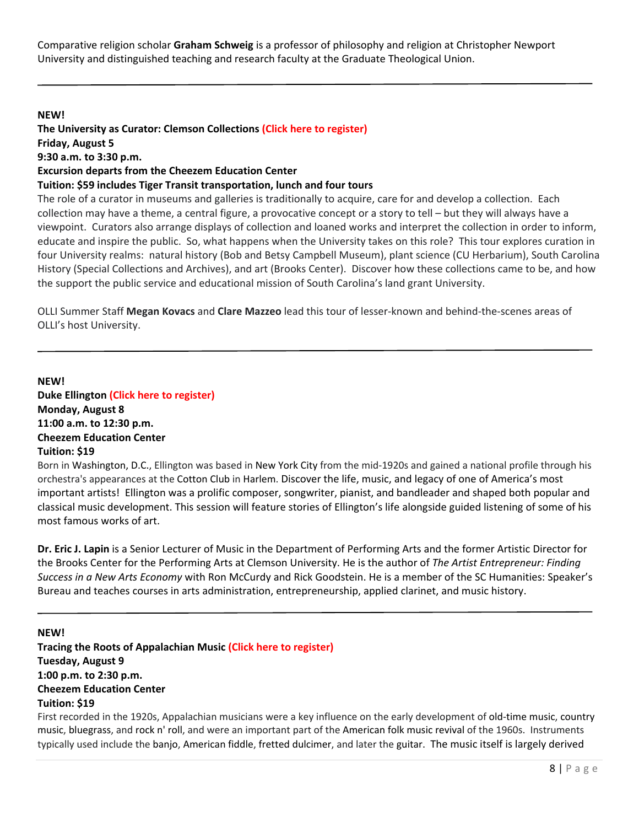Comparative religion scholar **Graham Schweig** is a professor of philosophy and religion at Christopher Newport University and distinguished teaching and research faculty at the Graduate Theological Union.

#### **NEW!**

**The University as Curator: Clemson Collections (Click here to [register\)](https://reg138.imperisoft.com/ClemsonUniversity/ProgramDetail/3336333539/Registration.aspx) Friday, August 5 9:30 a.m. to 3:30 p.m. Excursion departs from the Cheezem Education Center Tuition: \$59 includes Tiger Transit transportation, lunch and four tours**

The role of a curator in museums and galleries is traditionally to acquire, care for and develop a collection. Each collection may have a theme, a central figure, a provocative concept or a story to tell – but they will always have a viewpoint. Curators also arrange displays of collection and loaned works and interpret the collection in order to inform, educate and inspire the public. So, what happens when the University takes on this role? This tour explores curation in four University realms: natural history (Bob and Betsy Campbell Museum), plant science (CU Herbarium), South Carolina History (Special Collections and Archives), and art (Brooks Center). Discover how these collections came to be, and how the support the public service and educational mission of South Carolina's land grant University.

OLLI Summer Staff **Megan Kovacs** and **Clare Mazzeo** lead this tour of lesser‐known and behind‐the‐scenes areas of OLLI's host University.

**NEW! Duke Ellington (Click here to [register\)](https://reg138.imperisoft.com/ClemsonUniversity/ProgramDetail/3336333330/Registration.aspx) Monday, August 8 11:00 a.m. to 12:30 p.m. Cheezem Education Center Tuition: \$19**

Born in Washington, D.C., Ellington was based in New York City from the mid‐1920s and gained a national profile through his orchestra's appearances at the Cotton Club in Harlem. Discover the life, music, and legacy of one of America's most important artists! Ellington was a prolific composer, songwriter, pianist, and bandleader and shaped both popular and classical music development. This session will feature stories of Ellington's life alongside guided listening of some of his most famous works of art.

**Dr. Eric J. Lapin** is a Senior Lecturer of Music in the Department of Performing Arts and the former Artistic Director for the Brooks Center for the Performing Arts at Clemson University. He is the author of *The Artist Entrepreneur: Finding Success in a New Arts Economy* with Ron McCurdy and Rick Goodstein. He is a member of the SC Humanities: Speaker's Bureau and teaches courses in arts administration, entrepreneurship, applied clarinet, and music history.

## **NEW!**

**Tracing the Roots of Appalachian Music (Click here to [register\)](https://reg138.imperisoft.com/ClemsonUniversity/ProgramDetail/3336333139/Registration.aspx) Tuesday, August 9 1:00 p.m. to 2:30 p.m. Cheezem Education Center Tuition: \$19**

First recorded in the 1920s, Appalachian musicians were a key influence on the early development of old-time music, country music, bluegrass, and rock n' roll, and were an important part of the American folk music revival of the 1960s. Instruments typically used include the banjo, American fiddle, fretted dulcimer, and later the guitar. The music itself is largely derived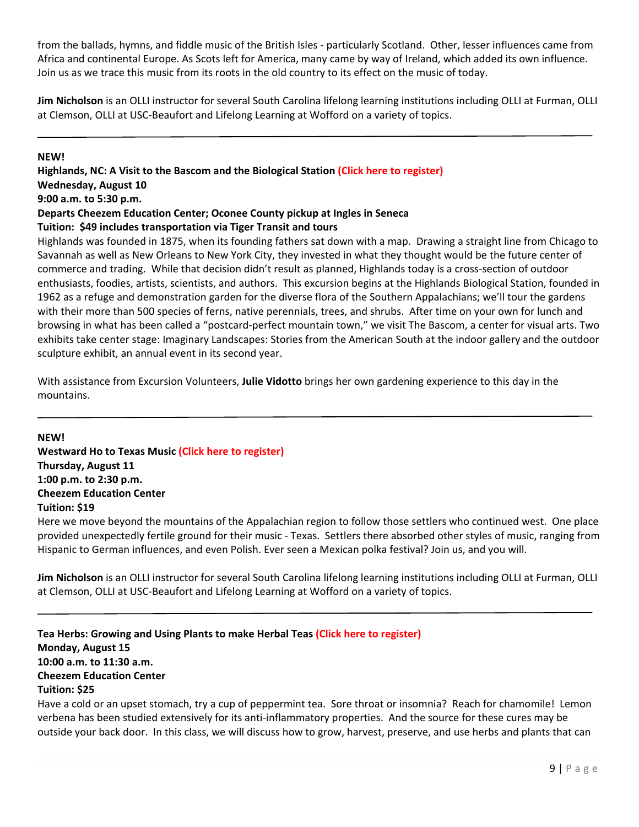from the ballads, hymns, and fiddle music of the British Isles - particularly Scotland. Other, lesser influences came from Africa and continental Europe. As Scots left for America, many came by way of Ireland, which added its own influence. Join us as we trace this music from its roots in the old country to its effect on the music of today.

**Jim Nicholson** is an OLLI instructor for several South Carolina lifelong learning institutions including OLLI at Furman, OLLI at Clemson, OLLI at USC‐Beaufort and Lifelong Learning at Wofford on a variety of topics.

#### **NEW!**

**Highlands, NC: A Visit to the Bascom and the Biological Station (Click here to [register\)](https://reg138.imperisoft.com/ClemsonUniversity/ProgramDetail/3336333537/Registration.aspx) Wednesday, August 10 9:00 a.m. to 5:30 p.m. Departs Cheezem Education Center; Oconee County pickup at Ingles in Seneca Tuition: \$49 includes transportation via Tiger Transit and tours**

Highlands was founded in 1875, when its founding fathers sat down with a map. Drawing a straight line from Chicago to Savannah as well as New Orleans to New York City, they invested in what they thought would be the future center of commerce and trading. While that decision didn't result as planned, Highlands today is a cross-section of outdoor enthusiasts, foodies, artists, scientists, and authors. This excursion begins at the Highlands Biological Station, founded in 1962 as a refuge and demonstration garden for the diverse flora of the Southern Appalachians; we'll tour the gardens with their more than 500 species of ferns, native perennials, trees, and shrubs. After time on your own for lunch and browsing in what has been called a "postcard‐perfect mountain town," we visit The Bascom, a center for visual arts. Two exhibits take center stage: Imaginary Landscapes: Stories from the American South at the indoor gallery and the outdoor sculpture exhibit, an annual event in its second year.

With assistance from Excursion Volunteers, **Julie Vidotto** brings her own gardening experience to this day in the mountains.

**NEW! Westward Ho to Texas Music (Click here to [register\)](https://reg138.imperisoft.com/ClemsonUniversity/ProgramDetail/3336333230/Registration.aspx) Thursday, August 11 1:00 p.m. to 2:30 p.m. Cheezem Education Center Tuition: \$19**

Here we move beyond the mountains of the Appalachian region to follow those settlers who continued west. One place provided unexpectedly fertile ground for their music ‐ Texas. Settlers there absorbed other styles of music, ranging from Hispanic to German influences, and even Polish. Ever seen a Mexican polka festival? Join us, and you will.

**Jim Nicholson** is an OLLI instructor for several South Carolina lifelong learning institutions including OLLI at Furman, OLLI at Clemson, OLLI at USC‐Beaufort and Lifelong Learning at Wofford on a variety of topics.

**Tea Herbs: Growing and Using Plants to make Herbal Teas (Click here to [register\)](https://reg138.imperisoft.com/ClemsonUniversity/ProgramDetail/3336333231/Registration.aspx) Monday, August 15 10:00 a.m. to 11:30 a.m. Cheezem Education Center Tuition: \$25**

Have a cold or an upset stomach, try a cup of peppermint tea. Sore throat or insomnia? Reach for chamomile! Lemon verbena has been studied extensively for its anti-inflammatory properties. And the source for these cures may be outside your back door. In this class, we will discuss how to grow, harvest, preserve, and use herbs and plants that can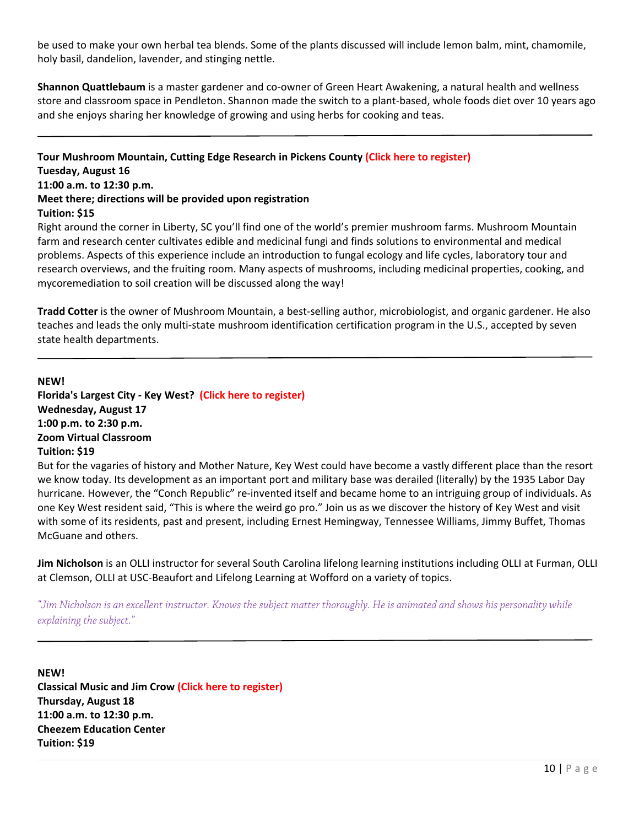be used to make your own herbal tea blends. Some of the plants discussed will include lemon balm, mint, chamomile, holy basil, dandelion, lavender, and stinging nettle.

**Shannon Quattlebaum** is a master gardener and co‐owner of Green Heart Awakening, a natural health and wellness store and classroom space in Pendleton. Shannon made the switch to a plant‐based, whole foods diet over 10 years ago and she enjoys sharing her knowledge of growing and using herbs for cooking and teas.

**Tour Mushroom Mountain, Cutting Edge Research in Pickens County (Click here to [register\)](https://reg138.imperisoft.com/ClemsonUniversity/ProgramDetail/3336333331/Registration.aspx) Tuesday, August 16 11:00 a.m. to 12:30 p.m. Meet there; directions will be provided upon registration Tuition: \$15** 

Right around the corner in Liberty, SC you'll find one of the world's premier mushroom farms. Mushroom Mountain farm and research center cultivates edible and medicinal fungi and finds solutions to environmental and medical problems. Aspects of this experience include an introduction to fungal ecology and life cycles, laboratory tour and research overviews, and the fruiting room. Many aspects of mushrooms, including medicinal properties, cooking, and mycoremediation to soil creation will be discussed along the way!

**Tradd Cotter** is the owner of Mushroom Mountain, a best-selling author, microbiologist, and organic gardener. He also teaches and leads the only multi‐state mushroom identification certification program in the U.S., accepted by seven state health departments.

**NEW!**

**Florida's Largest City ‐ Key West? (Click here to [register\)](https://reg138.imperisoft.com/ClemsonUniversity/ProgramDetail/3336333232/Registration.aspx) Wednesday, August 17 1:00 p.m. to 2:30 p.m. Zoom Virtual Classroom Tuition: \$19**

But for the vagaries of history and Mother Nature, Key West could have become a vastly different place than the resort we know today. Its development as an important port and military base was derailed (literally) by the 1935 Labor Day hurricane. However, the "Conch Republic" re-invented itself and became home to an intriguing group of individuals. As one Key West resident said, "This is where the weird go pro." Join us as we discover the history of Key West and visit with some of its residents, past and present, including Ernest Hemingway, Tennessee Williams, Jimmy Buffet, Thomas McGuane and others.

**Jim Nicholson** is an OLLI instructor for several South Carolina lifelong learning institutions including OLLI at Furman, OLLI at Clemson, OLLI at USC‐Beaufort and Lifelong Learning at Wofford on a variety of topics.

*"Jim Nicholson is an excellent instructor. Knows the subject matter thoroughly. He is animated and shows his personality while explaining the subject."* 

**NEW! Classical Music and Jim Crow (Click here to [register\)](https://reg138.imperisoft.com/ClemsonUniversity/ProgramDetail/3336333332/Registration.aspx) Thursday, August 18 11:00 a.m. to 12:30 p.m. Cheezem Education Center Tuition: \$19**